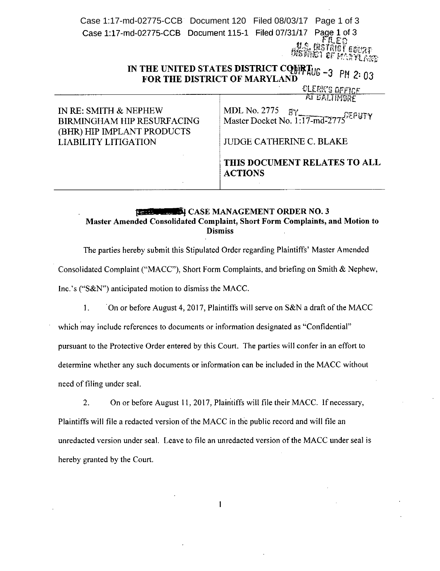Case 1:17-md-02775-CCB Document 120 Filed 08/03/17 Page 1 of 3Case 1:17-md-02775-CCB Document 115-1 Page 1 of 3 EO 下耗 **ASTRICT COURT** uren Rollin i 1802 p.<br>Uren Rollin i 1923

# IN THE UNITED STATES DISTRICT CQWRIU<sub>G-3</sub> pm 2. FOR THE DISTRICT OF MARYLAND **FOR THE LETTER**

CLEEK'S OFFICE -' <sup>J</sup> *t:JPt\_"* UigRE

IN RE: SMITH & NEPHEW BIRMINGHAM HIP RESURFACING (BHR) HIP IMPLANT PRODUCTS LIABILITY LITIGATION

MDL No. 2775  $EY$   $E^n$ Master Docket No.  $1:17$ -md-2775<sup> $r \in \mathbb{F}$ 11</sup>

JUDGE CATHERINE C. BLAKE

THIS DOCUMENT RELATES TO ALL ACTIONS

# CASE MANAGEMENT ORDER NO.3 Master Amended Consolidated Complaint, Short Form Complaints, and Motion to **Dismiss**

The parties hereby submit this Stipulated Order regarding Plaintiffs' Master Amended Consolidated Complaint ("MACC"), Short Form Complaints, and briefing on Smith & Nephew, Inc.'s ("S&N") anticipated motion to dismiss the MACC.

1. On or before August 4, 2017, Plaintiffs will serve on S&N a draft of the MACC

which may include references to documents or information designated as "Confidential" pursuant to the Protective Order entered by this Court. The parties will confer in an effort to determine whether any such documents or information can be included in the MACC without need of filing under seal.

2. On or before August 11, 2017, Plaintiffs will file their MACC. If necessary, Plaintiffs will file a redacted version of the MACC in the public record and will file an unredacted version under seal. Leave to file an unredacted version of the MACC under seal is hereby granted by the Court.

 $\mathbf{1}$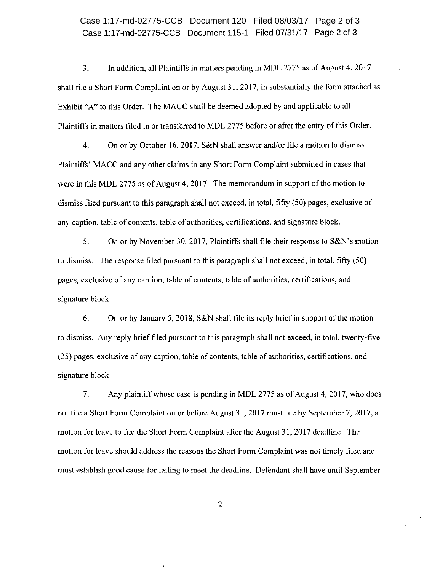Case 1:17-md-02775-CCB Document 115-1 Filed 07/31/17 Page 2 of 3 Case 1:17-md-02775-CCB Document 120 Filed 08/03/17 Page 2 of 3

3. In addition, all Plaintiffs in matters pending in MDL 2775 as of August 4, 2017 shall file a Short Form Complaint on or by August 31, 2017, in substantially the form attached as Exhibit "A" to this Order. The MACC shall be deemed adopted by and applicable to all Plaintiffs in matters filed in or transferred to MDL 2775 before or after the entry of this Order.

4. On or by October 16, 2017, S&N shall answer and/or file a motion to dismiss Plaintiffs' MACC and any other claims in any Short Form Complaint submitted in cases that were in this MDL 2775 as of August 4, 2017. The memorandum in support of the motion to dismiss filed pursuant to this paragraph shall not exceed, in total, fifty (50) pages, exclusive of any caption, table of contents, table of authorities, certifications, and signature block.

5. On or by November 30, 2017, Plaintiffs shall file their response to S&N's motion to dismiss. The response filed pursuant to this paragraph shall not exceed, in total, fifty (50) pages, exclusive of any caption, table of contents, table of authorities, certifications, and signature block.

6. On or by January 5, 2018, S&N shall file its reply brief in support of the motion to dismiss. Any reply brief filed pursuant to this paragraph shall not exceed, in total, twenty-five (25) pages, exclusive of any caption, table of contents, table of authorities, certifications, and signature block.

7. Any plaintiff whose case is pending in MDL 2775 as of August 4,2017, who does not file a Short Form Complaint on or before August 31, 2017 must file by September 7,2017, a motion for leave to file the Short Form Complaint after the August 31, 2017 deadline. The motion for leave should address the reasons the Short Form Complaint was not timely filed and must establish good cause for failing to meet the deadline. Defendant shall have until September

2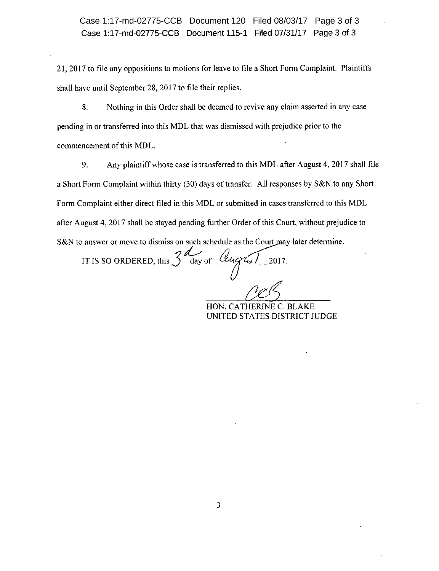Case 1:17-md-02775-CCB Document 115-1 Filed 07/31/17 Page 3 of 3 Case 1:17-md-02775-CCB Document 120 Filed 08/03/17 Page 3 of 3

21,2017 to file any oppositions to motions for leave to file a Short Form Complaint. Plaintiffs shall have until September 28, 2017 to file their replies.

8. Nothing in this Order shall be deemed to revive any claim asserted in any case pending in or transferred into this MDL that was dismissed with prejudice prior to the commencement of this MOL.

9. Any plaintiff whose case is transferred to this MOL after August 4, 2017 shall file a Short Form Complaint within thirty (30) days of transfer. All responses by S&N to any Short Form Complaint either direct filed in this MOL or submitted in cases transferred to this MOL after August 4, 2017 shall be stayed pending further Order of this Court, without prejudice to S&N to answer or move to dismiss on such schedule as the Court may later determine.

answer or move to dismiss on such schedule as the Court may IT IS SO ORDERED, this  $\frac{2d}{d}$  day of  $\frac{(\ell \ell \mu q \ell \mu)}{2017}$ .  $\iint$ 

*ur5* HON. CATHERlNE c. BLAKE UNITED STATES DISTRICT JUDGE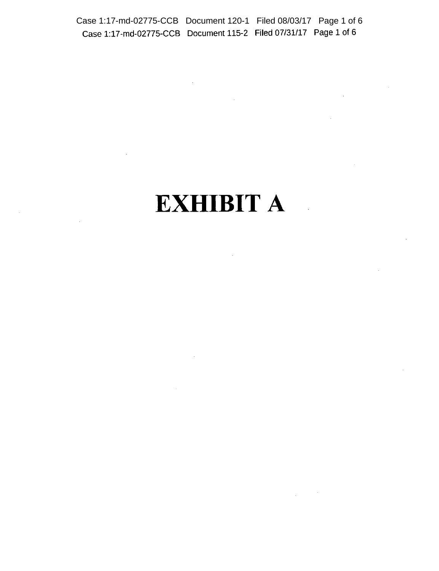Case 1:17-md-02775-CCB Document 115-2 **Filed** 07/31/17 Page 1 of 6 Case 1:17-md-02775-CCB Document 120-1 Filed 08/03/17 Page 1 of 6

 $\sim 10$ 

# **EXHIBIT A**

 $\mathcal{A}$ 

 $\label{eq:2.1} \frac{1}{\sqrt{2}}\int_{\mathbb{R}^{2}}\left|\frac{d\mathbf{x}}{d\mathbf{x}}\right|^{2}d\mathbf{x}^{2}d\mathbf{x}^{2}d\mathbf{x}^{2}d\mathbf{x}^{2}d\mathbf{x}^{2}d\mathbf{x}^{2}d\mathbf{x}^{2}d\mathbf{x}^{2}d\mathbf{x}^{2}d\mathbf{x}^{2}d\mathbf{x}^{2}d\mathbf{x}^{2}d\mathbf{x}^{2}d\mathbf{x}^{2}d\mathbf{x}^{2}d\mathbf{x}^{2}d\mathbf{x}^{2}d\mathbf{x}^{2}d\math$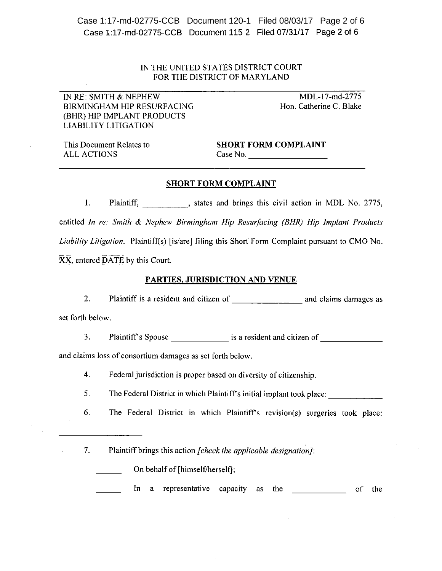Case 1:17-md-02775-CCB Document 115-2 Filed 07/31/17 Page 2 of 6 Case 1:17-md-02775-CCB Document 120-1 Filed 08/03/17 Page 2 of 6

## IN THE UNITED STATES DISTRICT COURT FOR THE DISTRICT OF MARYLAND

IN RE: SMITH & NEPHEW BIRMINGHAM HIP RESURFACING (BHR) HIP IMPLANT PRODUCTS LIABILITY LITIGATION

MDL-17-md-2775 Hon. Catherine C. Blake

This Document Relates to ALL ACTIONS

 $\mathbb{R}^{\mathbb{Z}}$ 

SHORT FORM COMPLAINT  $\text{Case No.}$ 

#### SHORT FORM COMPLAINT

I. Plaintiff, states and brings this civil action in MDL No. 2775, entitled *In re: Smith* & *Nephew Birmingham Hip Resurfacing (BHR) Hip Implant Products Liability Litigation.* Plaintiff(s) [is/are] filing this Short Form Complaint pursuant to CMO No. XX, entered DATE by this Court.

#### PARTIES, JURISDICTION AND VENUE

2. Plaintiff is a resident and citizen of and claims damages as set forth below.

3. Plaintiff's Spouse  $\frac{1}{\sqrt{1-\frac{1}{n}}}\$  is a resident and citizen of  $\frac{1}{\sqrt{1-\frac{1}{n}}}\$ 

and claims loss of consortium damages as set forth below.

4. Federal jurisdiction is proper based on diversity of citizenship.

5. The Federal District in which Plaintiff's initial implant took place:

6. The Federal District in which Plaintiff's revision(s) surgeries took place:

7. Plaintiff brings this action *[check the applicable designation}:*

On behalf of [himself/herself];

In a representative capacity as the of the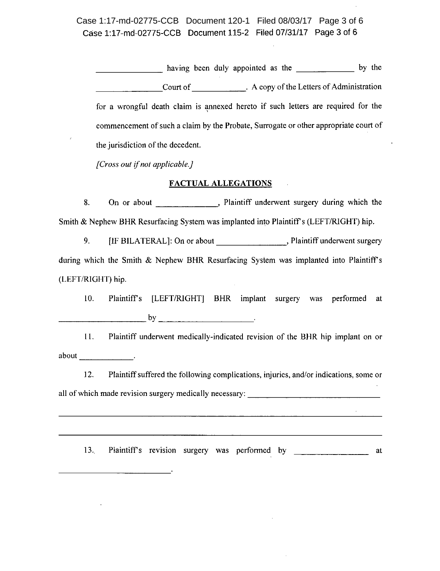Case 1:17-md-02775-CCB Document 115-2 Filed 07/31/17 Page 3 of 6 Case 1:17-md-02775-CCB Document 120-1 Filed 08/03/17 Page 3 of 6

having been duly appointed as the by the Court of . A copy of the Letters of Administration for a wrongful death claim is annexed hereto if such letters are required for the commencement of such a claim by the Probate, Surrogate or other appropriate court of the jurisdiction of the decedent.

*[Cross out if not applicable.}*

#### **FACTUAL ALLEGATIONS**

8. On or about \_\_\_\_\_\_\_\_\_\_\_\_, Plaintiff underwent surgery during which the Smith & Nephew BHR Resurfacing System was implanted into Plaintiff's (LEFT/RIGHT) hip.

9. [IF BILATERAL]: On or about \_\_\_\_\_\_\_\_\_\_\_\_\_\_\_\_\_\_\_, Plaintiff underwent surgery during which the Smith & Nephew BHR Resurfacing System was implanted into Plaintiff's (LEFT/RIGHT) hip.

10. Plaintiffs [LEFT/RIGHT] BHR implant surgery was performed at  $\mathsf{by}$   $\mathsf{by}$   $\mathsf{by}$   $\mathsf{by}$   $\mathsf{by}$   $\mathsf{by}$   $\mathsf{by}$   $\mathsf{by}$   $\mathsf{by}$   $\mathsf{by}$   $\mathsf{by}$   $\mathsf{by}$   $\mathsf{by}$   $\mathsf{by}$   $\mathsf{by}$   $\mathsf{by}$   $\mathsf{by}$   $\mathsf{by}$   $\mathsf{by}$   $\mathsf{by}$   $\mathsf{by}$   $\mathsf{by}$   $\mathsf{by}$   $\mathsf{by}$   $\mathsf{$ 

11. Plaintiff underwent medically-indicated revision of the BHR hip implant on or about **about** 

12. Plaintiff suffered the following complications, injuries, and/or indications, some or all of which made revision surgery medically necessary:

13. Plaintiff's revision surgery was performed by at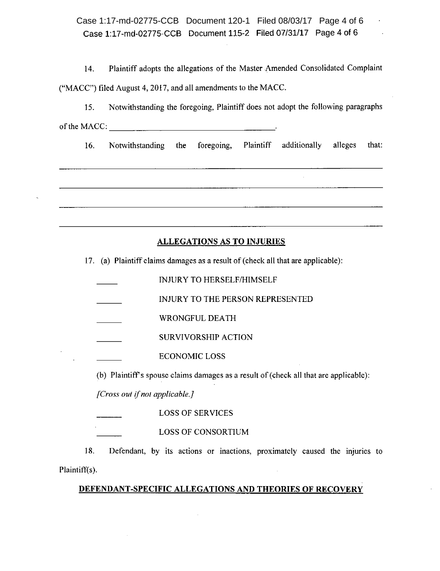Case 1:17-md-02775-CCB Document 115-2 Filed 07/31/17 Page 4 of 6 Case 1:17-md-02775-CCB Document 120-1 Filed 08/03/17 Page 4 of 6

14. Plaintiff adopts the allegations of the Master Amended Consolidated Complaint ("MACC") filed August 4, 2017, and all amendments to the MACe.

IS. Notwithstanding the foregoing, Plaintiff does not adopt the following paragraphs of the MACC:

16. Notwithstanding the foregoing, Plaintiff additionally alleges that:

# ALLEGATIONS AS TO INJURIES

17. (a) Plaintiff claims damages as a result of (check all that are applicable):

INJURY TO HERSELF/HIMSELF INJURY TO THE PERSON REPRESENTED WRONGFUL DEATH SURVIVORSHIP ACTION ECONOMIC LOSS

(b) Plaintiff's spouse claims damages as a result of (check all that are applicable):

*[Cross out if not applicable.}*

LOSS OF SERVICES

LOSS OF CONSORTIUM

18. Defendant, by its actions or inactions, proximately caused the injuries to Plaintiff(s).

# DEFENDANT-SPECIFIC ALLEGATIONS AND THEORIES OF RECOVERY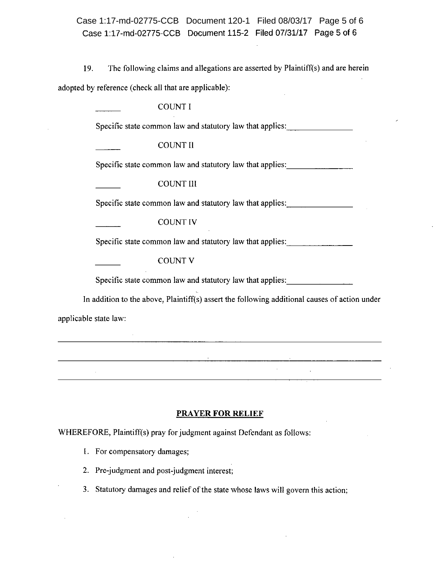Case 1:17-md-02775-CCB Document 115-2 Filed 07/31/17 Page 5 of 6 Case 1:17-md-02775-CCB Document 120-1 Filed 08/03/17 Page 5 of 6

19. The following claims and allegations are asserted by Plaintiff(s) and are herein

adopted by reference (check all that are applicable):

**COUNT I** 

Specific state common law and statutory law that applies:

COUNT II

Specific state common law and statutory law that applies:

COUNT III

Specific state common law and statutory law that applies: \_\_\_\_\_\_\_\_\_\_\_\_\_\_\_\_\_\_\_\_\_\_

COUNT IV

Specific state common law and statutory law that applies: \_

COUNT V

Specific state common law and statutory law that applies:

In addition to the above, Plaintiff(s) assert the following additional causes of action under

 $\mathcal{L}_{\rm{max}}$ 

applicable state law:

#### **PRAYER FOR RELIEF**

WHEREFORE, Plaintiff(s) pray for judgment against Defendant as follows:

the contract of the contract of the contract of the contract of the contract of

1. For compensatory damages;

2. Pre-judgment and post-judgment interest;

3. Statutory damages and relief of the state whose laws will govern this action;